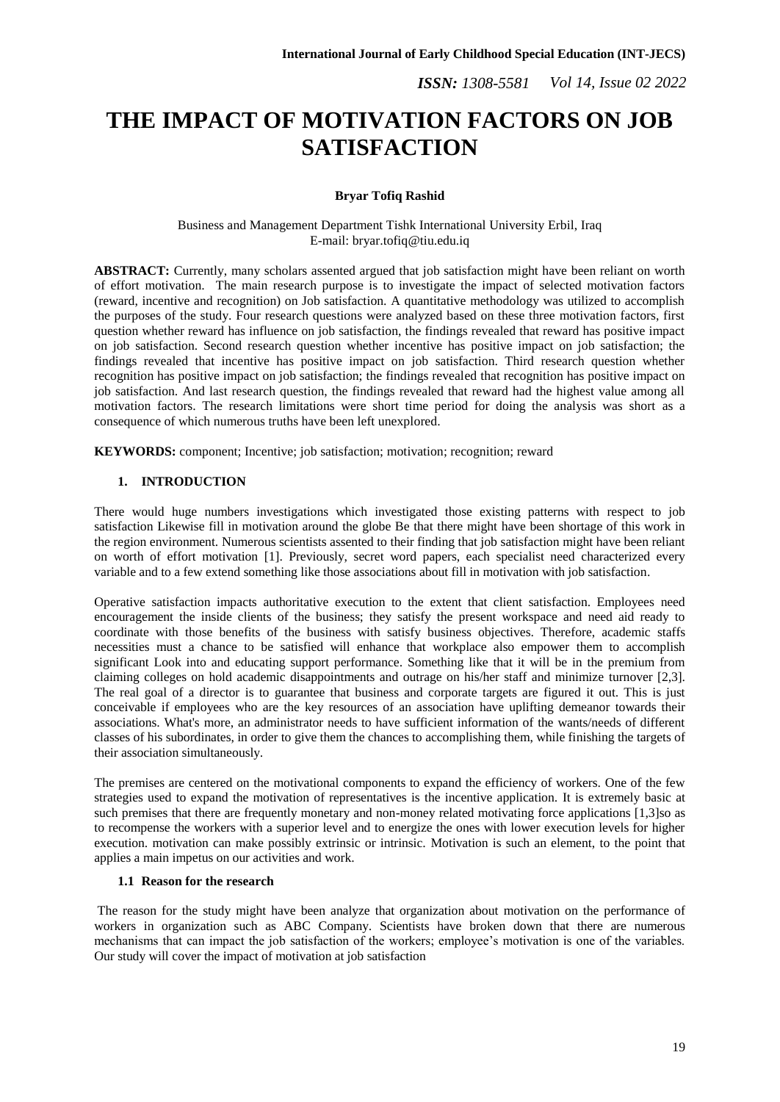# **THE IMPACT OF MOTIVATION FACTORS ON JOB SATISFACTION**

# **Bryar Tofiq Rashid**

Business and Management Department Tishk International University Erbil, Iraq E-mail: bryar.tofiq@tiu.edu.iq

**ABSTRACT:** Currently, many scholars assented argued that job satisfaction might have been reliant on worth of effort motivation. The main research purpose is to investigate the impact of selected motivation factors (reward, incentive and recognition) on Job satisfaction. A quantitative methodology was utilized to accomplish the purposes of the study. Four research questions were analyzed based on these three motivation factors, first question whether reward has influence on job satisfaction, the findings revealed that reward has positive impact on job satisfaction. Second research question whether incentive has positive impact on job satisfaction; the findings revealed that incentive has positive impact on job satisfaction. Third research question whether recognition has positive impact on job satisfaction; the findings revealed that recognition has positive impact on job satisfaction. And last research question, the findings revealed that reward had the highest value among all motivation factors. The research limitations were short time period for doing the analysis was short as a consequence of which numerous truths have been left unexplored.

**KEYWORDS:** component; Incentive; job satisfaction; motivation; recognition; reward

# **1. INTRODUCTION**

There would huge numbers investigations which investigated those existing patterns with respect to job satisfaction Likewise fill in motivation around the globe Be that there might have been shortage of this work in the region environment. Numerous scientists assented to their finding that job satisfaction might have been reliant on worth of effort motivation [1]. Previously, secret word papers, each specialist need characterized every variable and to a few extend something like those associations about fill in motivation with job satisfaction.

Operative satisfaction impacts authoritative execution to the extent that client satisfaction. Employees need encouragement the inside clients of the business; they satisfy the present workspace and need aid ready to coordinate with those benefits of the business with satisfy business objectives. Therefore, academic staffs necessities must a chance to be satisfied will enhance that workplace also empower them to accomplish significant Look into and educating support performance. Something like that it will be in the premium from claiming colleges on hold academic disappointments and outrage on his/her staff and minimize turnover [2,3]. The real goal of a director is to guarantee that business and corporate targets are figured it out. This is just conceivable if employees who are the key resources of an association have uplifting demeanor towards their associations. What's more, an administrator needs to have sufficient information of the wants/needs of different classes of his subordinates, in order to give them the chances to accomplishing them, while finishing the targets of their association simultaneously.

The premises are centered on the motivational components to expand the efficiency of workers. One of the few strategies used to expand the motivation of representatives is the incentive application. It is extremely basic at such premises that there are frequently monetary and non-money related motivating force applications [1,3]so as to recompense the workers with a superior level and to energize the ones with lower execution levels for higher execution. motivation can make possibly extrinsic or intrinsic. Motivation is such an element, to the point that applies a main impetus on our activities and work.

# **1.1 Reason for the research**

The reason for the study might have been analyze that organization about motivation on the performance of workers in organization such as ABC Company. Scientists have broken down that there are numerous mechanisms that can impact the job satisfaction of the workers; employee's motivation is one of the variables. Our study will cover the impact of motivation at job satisfaction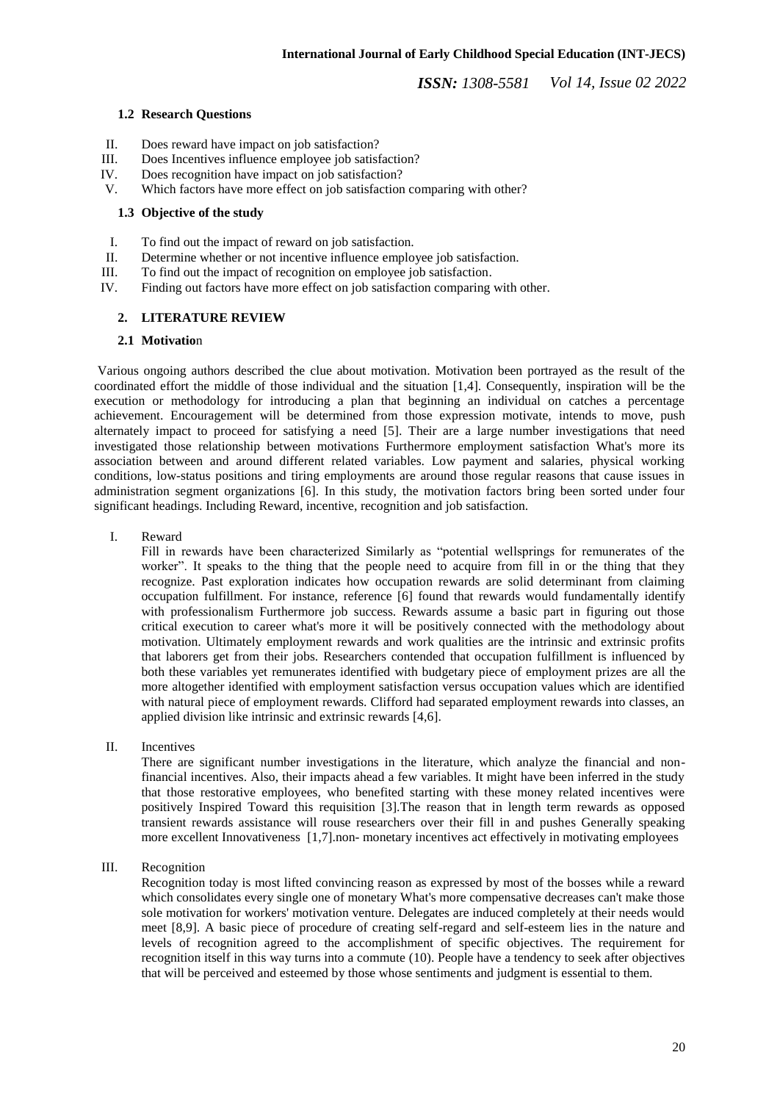### **1.2 Research Questions**

- II. Does reward have impact on job satisfaction?
- III. Does Incentives influence employee job satisfaction?
- IV. Does recognition have impact on job satisfaction?<br>V. Which factors have more effect on job satisfaction
- Which factors have more effect on job satisfaction comparing with other?

#### **1.3 Objective of the study**

- I. To find out the impact of reward on job satisfaction.
- II. Determine whether or not incentive influence employee job satisfaction.
- III. To find out the impact of recognition on employee job satisfaction.
- IV. Finding out factors have more effect on job satisfaction comparing with other.

## **2. LITERATURE REVIEW**

#### **2.1 Motivatio**n

Various ongoing authors described the clue about motivation. Motivation been portrayed as the result of the coordinated effort the middle of those individual and the situation [1,4]. Consequently, inspiration will be the execution or methodology for introducing a plan that beginning an individual on catches a percentage achievement. Encouragement will be determined from those expression motivate, intends to move, push alternately impact to proceed for satisfying a need [5]. Their are a large number investigations that need investigated those relationship between motivations Furthermore employment satisfaction What's more its association between and around different related variables. Low payment and salaries, physical working conditions, low-status positions and tiring employments are around those regular reasons that cause issues in administration segment organizations [6]. In this study, the motivation factors bring been sorted under four significant headings. Including Reward, incentive, recognition and job satisfaction.

I. Reward

Fill in rewards have been characterized Similarly as "potential wellsprings for remunerates of the worker". It speaks to the thing that the people need to acquire from fill in or the thing that they recognize. Past exploration indicates how occupation rewards are solid determinant from claiming occupation fulfillment. For instance, reference [6] found that rewards would fundamentally identify with professionalism Furthermore job success. Rewards assume a basic part in figuring out those critical execution to career what's more it will be positively connected with the methodology about motivation. Ultimately employment rewards and work qualities are the intrinsic and extrinsic profits that laborers get from their jobs. Researchers contended that occupation fulfillment is influenced by both these variables yet remunerates identified with budgetary piece of employment prizes are all the more altogether identified with employment satisfaction versus occupation values which are identified with natural piece of employment rewards. Clifford had separated employment rewards into classes, an applied division like intrinsic and extrinsic rewards [4,6].

II. Incentives

There are significant number investigations in the literature, which analyze the financial and nonfinancial incentives. Also, their impacts ahead a few variables. It might have been inferred in the study that those restorative employees, who benefited starting with these money related incentives were positively Inspired Toward this requisition [3].The reason that in length term rewards as opposed transient rewards assistance will rouse researchers over their fill in and pushes Generally speaking more excellent Innovativeness [1,7].non- monetary incentives act effectively in motivating employees

## III. Recognition

Recognition today is most lifted convincing reason as expressed by most of the bosses while a reward which consolidates every single one of monetary What's more compensative decreases can't make those sole motivation for workers' motivation venture. Delegates are induced completely at their needs would meet [8,9]. A basic piece of procedure of creating self-regard and self-esteem lies in the nature and levels of recognition agreed to the accomplishment of specific objectives. The requirement for recognition itself in this way turns into a commute (10). People have a tendency to seek after objectives that will be perceived and esteemed by those whose sentiments and judgment is essential to them.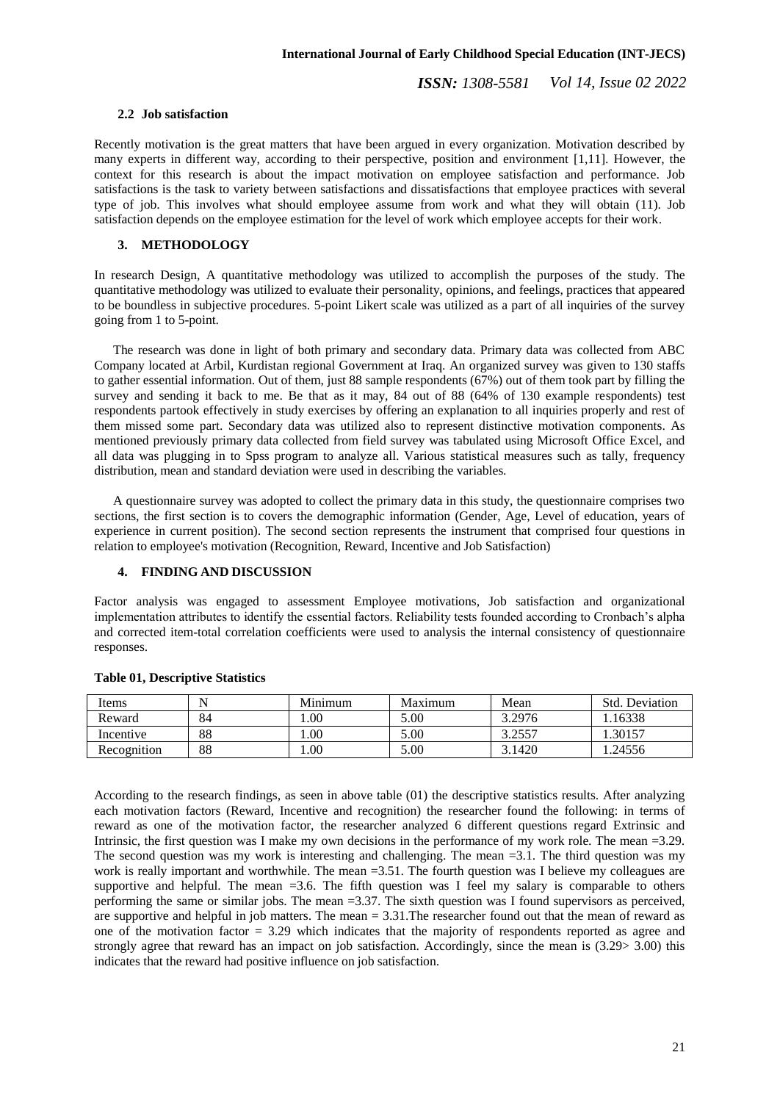#### **2.2 Job satisfaction**

Recently motivation is the great matters that have been argued in every organization. Motivation described by many experts in different way, according to their perspective, position and environment [1,11]. However, the context for this research is about the impact motivation on employee satisfaction and performance. Job satisfactions is the task to variety between satisfactions and dissatisfactions that employee practices with several type of job. This involves what should employee assume from work and what they will obtain (11). Job satisfaction depends on the employee estimation for the level of work which employee accepts for their work.

#### **3. METHODOLOGY**

In research Design, A quantitative methodology was utilized to accomplish the purposes of the study. The quantitative methodology was utilized to evaluate their personality, opinions, and feelings, practices that appeared to be boundless in subjective procedures. 5-point Likert scale was utilized as a part of all inquiries of the survey going from 1 to 5-point.

The research was done in light of both primary and secondary data. Primary data was collected from ABC Company located at Arbil, Kurdistan regional Government at Iraq. An organized survey was given to 130 staffs to gather essential information. Out of them, just 88 sample respondents (67%) out of them took part by filling the survey and sending it back to me. Be that as it may, 84 out of 88 (64% of 130 example respondents) test respondents partook effectively in study exercises by offering an explanation to all inquiries properly and rest of them missed some part. Secondary data was utilized also to represent distinctive motivation components. As mentioned previously primary data collected from field survey was tabulated using Microsoft Office Excel, and all data was plugging in to Spss program to analyze all. Various statistical measures such as tally, frequency distribution, mean and standard deviation were used in describing the variables.

A questionnaire survey was adopted to collect the primary data in this study, the questionnaire comprises two sections, the first section is to covers the demographic information (Gender, Age, Level of education, years of experience in current position). The second section represents the instrument that comprised four questions in relation to employee's motivation (Recognition, Reward, Incentive and Job Satisfaction)

## **4. FINDING AND DISCUSSION**

Factor analysis was engaged to assessment Employee motivations, Job satisfaction and organizational implementation attributes to identify the essential factors. Reliability tests founded according to Cronbach's alpha and corrected item-total correlation coefficients were used to analysis the internal consistency of questionnaire responses.

| Items       |    | Minimum | Maximum | Mean   | Std. Deviation |
|-------------|----|---------|---------|--------|----------------|
| Reward      | 84 | .00     | 5.00    | 3.2976 | 16338          |
| Incentive   | 88 | .00     | 5.00    | 3.2557 | .30157         |
| Recognition | 88 | .00     | 5.00    | 3.1420 | .24556         |

#### **Table 01, Descriptive Statistics**

According to the research findings, as seen in above table (01) the descriptive statistics results. After analyzing each motivation factors (Reward, Incentive and recognition) the researcher found the following: in terms of reward as one of the motivation factor, the researcher analyzed 6 different questions regard Extrinsic and Intrinsic, the first question was I make my own decisions in the performance of my work role. The mean =3.29. The second question was my work is interesting and challenging. The mean =3.1. The third question was my work is really important and worthwhile. The mean =3.51. The fourth question was I believe my colleagues are supportive and helpful. The mean  $=3.6$ . The fifth question was I feel my salary is comparable to others performing the same or similar jobs. The mean =3.37. The sixth question was I found supervisors as perceived, are supportive and helpful in job matters. The mean = 3.31.The researcher found out that the mean of reward as one of the motivation factor  $= 3.29$  which indicates that the majority of respondents reported as agree and strongly agree that reward has an impact on job satisfaction. Accordingly, since the mean is (3.29> 3.00) this indicates that the reward had positive influence on job satisfaction.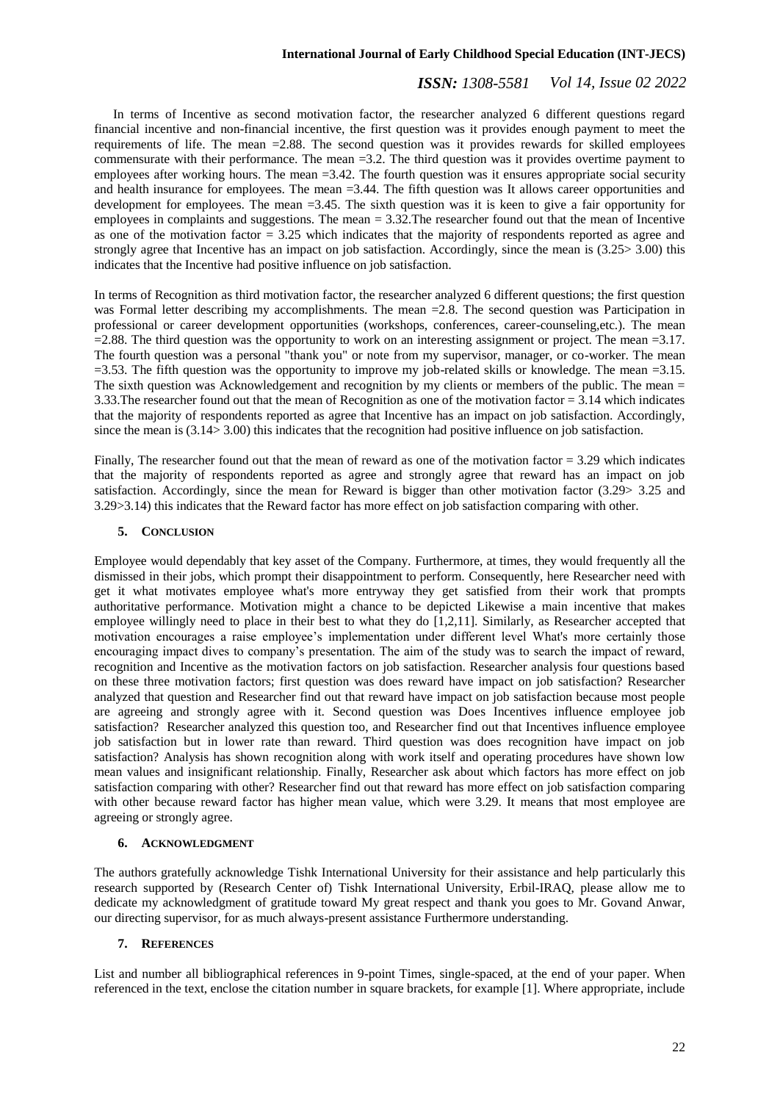#### **International Journal of Early Childhood Special Education (INT-JECS)**

# *ISSN: 1308-5581 Vol 14, Issue 02 2022*

In terms of Incentive as second motivation factor, the researcher analyzed 6 different questions regard financial incentive and non-financial incentive, the first question was it provides enough payment to meet the requirements of life. The mean  $=2.88$ . The second question was it provides rewards for skilled employees commensurate with their performance. The mean =3.2. The third question was it provides overtime payment to employees after working hours. The mean =3.42. The fourth question was it ensures appropriate social security and health insurance for employees. The mean =3.44. The fifth question was It allows career opportunities and development for employees. The mean =3.45. The sixth question was it is keen to give a fair opportunity for employees in complaints and suggestions. The mean = 3.32.The researcher found out that the mean of Incentive as one of the motivation factor = 3.25 which indicates that the majority of respondents reported as agree and strongly agree that Incentive has an impact on job satisfaction. Accordingly, since the mean is (3.25> 3.00) this indicates that the Incentive had positive influence on job satisfaction.

In terms of Recognition as third motivation factor, the researcher analyzed 6 different questions; the first question was Formal letter describing my accomplishments. The mean =2.8. The second question was Participation in professional or career development opportunities (workshops, conferences, career-counseling,etc.). The mean  $=2.88$ . The third question was the opportunity to work on an interesting assignment or project. The mean  $=3.17$ . The fourth question was a personal "thank you" or note from my supervisor, manager, or co-worker. The mean  $=$ 3.53. The fifth question was the opportunity to improve my job-related skills or knowledge. The mean  $=$ 3.15. The sixth question was Acknowledgement and recognition by my clients or members of the public. The mean = 3.33. The researcher found out that the mean of Recognition as one of the motivation factor  $= 3.14$  which indicates that the majority of respondents reported as agree that Incentive has an impact on job satisfaction. Accordingly, since the mean is (3.14> 3.00) this indicates that the recognition had positive influence on job satisfaction.

Finally, The researcher found out that the mean of reward as one of the motivation factor  $= 3.29$  which indicates that the majority of respondents reported as agree and strongly agree that reward has an impact on job satisfaction. Accordingly, since the mean for Reward is bigger than other motivation factor (3.29> 3.25 and 3.29>3.14) this indicates that the Reward factor has more effect on job satisfaction comparing with other.

### **5. CONCLUSION**

Employee would dependably that key asset of the Company. Furthermore, at times, they would frequently all the dismissed in their jobs, which prompt their disappointment to perform. Consequently, here Researcher need with get it what motivates employee what's more entryway they get satisfied from their work that prompts authoritative performance. Motivation might a chance to be depicted Likewise a main incentive that makes employee willingly need to place in their best to what they do [1,2,11]. Similarly, as Researcher accepted that motivation encourages a raise employee's implementation under different level What's more certainly those encouraging impact dives to company's presentation. The aim of the study was to search the impact of reward, recognition and Incentive as the motivation factors on job satisfaction. Researcher analysis four questions based on these three motivation factors; first question was does reward have impact on job satisfaction? Researcher analyzed that question and Researcher find out that reward have impact on job satisfaction because most people are agreeing and strongly agree with it. Second question was Does Incentives influence employee job satisfaction? Researcher analyzed this question too, and Researcher find out that Incentives influence employee job satisfaction but in lower rate than reward. Third question was does recognition have impact on job satisfaction? Analysis has shown recognition along with work itself and operating procedures have shown low mean values and insignificant relationship. Finally, Researcher ask about which factors has more effect on job satisfaction comparing with other? Researcher find out that reward has more effect on job satisfaction comparing with other because reward factor has higher mean value, which were 3.29. It means that most employee are agreeing or strongly agree.

#### **6. ACKNOWLEDGMENT**

The authors gratefully acknowledge Tishk International University for their assistance and help particularly this research supported by (Research Center of) Tishk International University, Erbil-IRAQ, please allow me to dedicate my acknowledgment of gratitude toward My great respect and thank you goes to Mr. Govand Anwar, our directing supervisor, for as much always-present assistance Furthermore understanding.

# **7. REFERENCES**

List and number all bibliographical references in 9-point Times, single-spaced, at the end of your paper. When referenced in the text, enclose the citation number in square brackets, for example [1]. Where appropriate, include